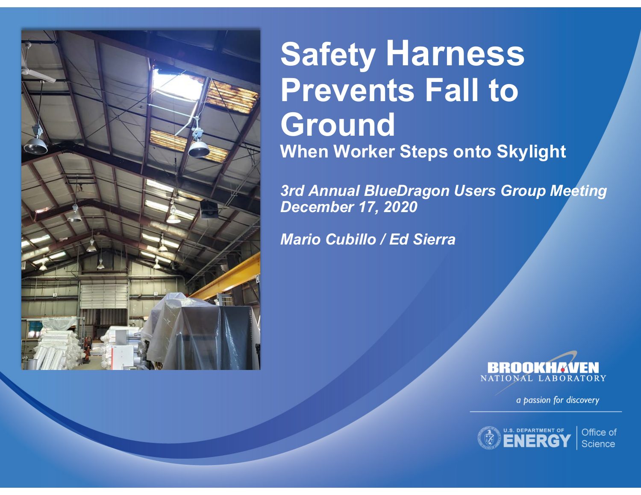

#### **Safety Harness Prevents Fall to Ground When Worker Steps onto Skylight**

*3rd Annual BlueDragon Users Group Meeting December 17, 2020*

*Mario Cubillo / Ed Sierra*



a passion for discovery



Office of Science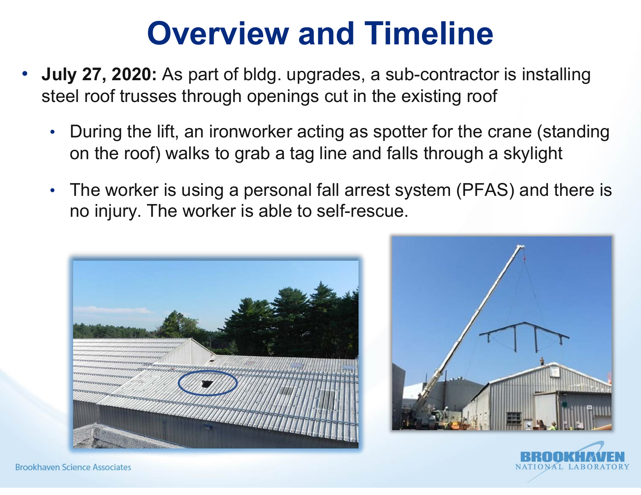#### **Overview and Timeline**

- **July 27, 2020:** As part of bldg. upgrades, a sub-contractor is installing steel roof trusses through openings cut in the existing roof
	- During the lift, an ironworker acting as spotter for the crane (standing on the roof) walks to grab a tag line and falls through a skylight
	- The worker is using a personal fall arrest system (PFAS) and there is no injury. The worker is able to self-rescue.







**Brookhaven Science Associates**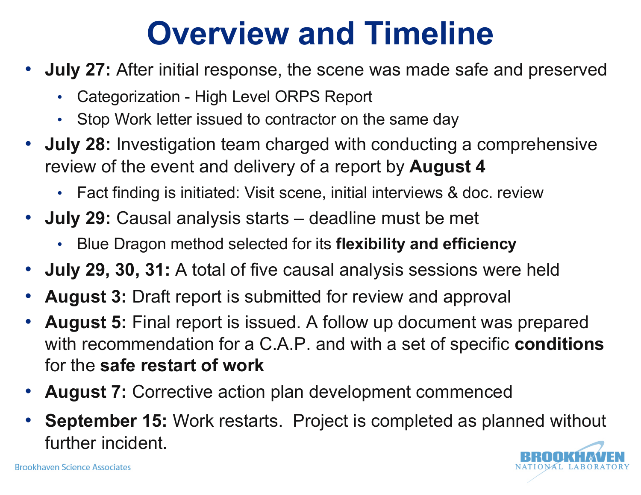#### **Overview and Timeline**

- **July 27:** After initial response, the scene was made safe and preserved
	- Categorization High Level ORPS Report
	- Stop Work letter issued to contractor on the same day
- **July 28:** Investigation team charged with conducting a comprehensive review of the event and delivery of a report by **August 4**
	- Fact finding is initiated: Visit scene, initial interviews & doc. review
- **July 29:** Causal analysis starts deadline must be met
	- Blue Dragon method selected for its **flexibility and efficiency**
- **July 29, 30, 31:** A total of five causal analysis sessions were held
- **August 3:** Draft report is submitted for review and approval
- **August 5:** Final report is issued. A follow up document was prepared with recommendation for a C.A.P. and with a set of specific **conditions** for the **safe restart of work**
- **August 7:** Corrective action plan development commenced
- **September 15:** Work restarts. Project is completed as planned without further incident.

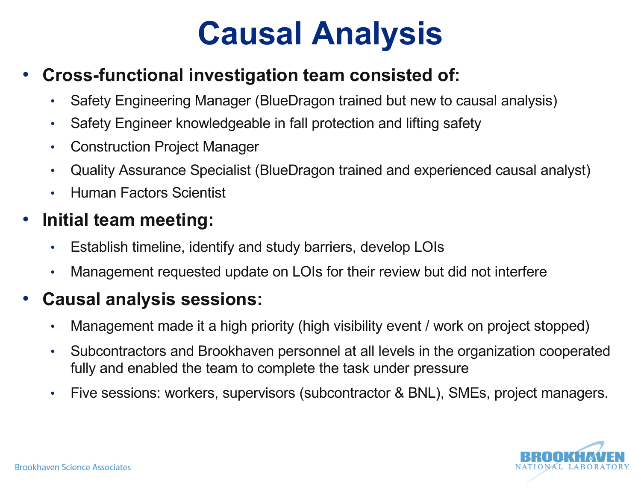#### **Causal Analysis**

#### • **Cross-functional investigation team consisted of:**

- Safety Engineering Manager (BlueDragon trained but new to causal analysis)
- Safety Engineer knowledgeable in fall protection and lifting safety
- Construction Project Manager
- Quality Assurance Specialist (BlueDragon trained and experienced causal analyst)
- Human Factors Scientist

#### • **Initial team meeting:**

- Establish timeline, identify and study barriers, develop LOIs
- Management requested update on LOIs for their review but did not interfere

#### • **Causal analysis sessions:**

- Management made it a high priority (high visibility event / work on project stopped)
- Subcontractors and Brookhaven personnel at all levels in the organization cooperated fully and enabled the team to complete the task under pressure
- Five sessions: workers, supervisors (subcontractor & BNL), SMEs, project managers.

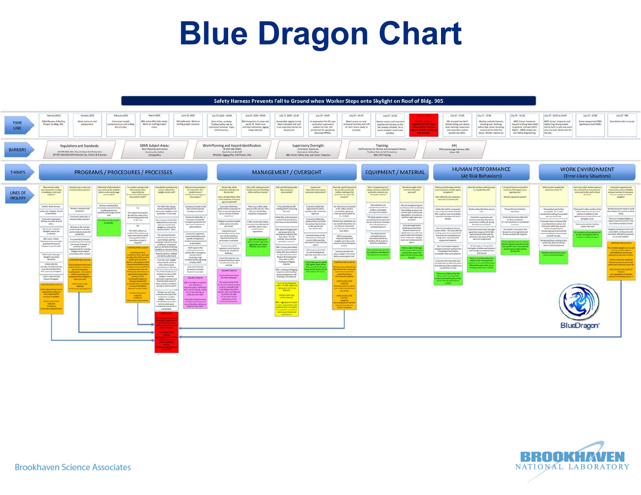### **Blue Dragon Chart**

#### Safety Harness Prevents Fall to Ground when Worker Steps onto Skylight on Roof of Bldg. 905



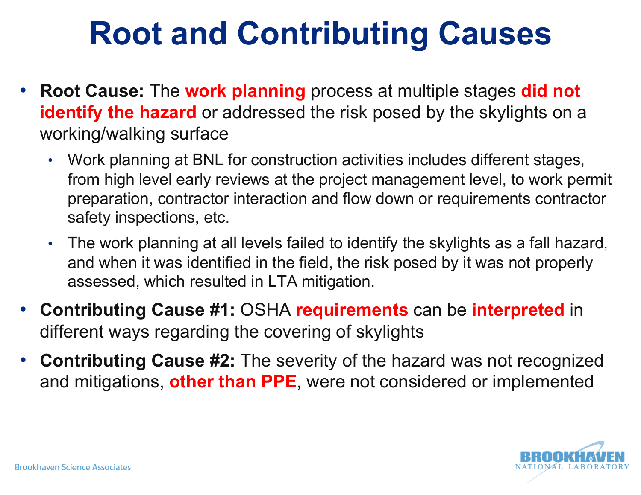## **Root and Contributing Causes**

- **Root Cause:** The **work planning** process at multiple stages **did not identify the hazard** or addressed the risk posed by the skylights on a working/walking surface
	- Work planning at BNL for construction activities includes different stages, from high level early reviews at the project management level, to work permit preparation, contractor interaction and flow down or requirements contractor safety inspections, etc.
	- The work planning at all levels failed to identify the skylights as a fall hazard, and when it was identified in the field, the risk posed by it was not properly assessed, which resulted in LTA mitigation.
- **Contributing Cause #1:** OSHA **requirements** can be **interpreted** in different ways regarding the covering of skylights
- **Contributing Cause #2:** The severity of the hazard was not recognized and mitigations, **other than PPE**, were not considered or implemented

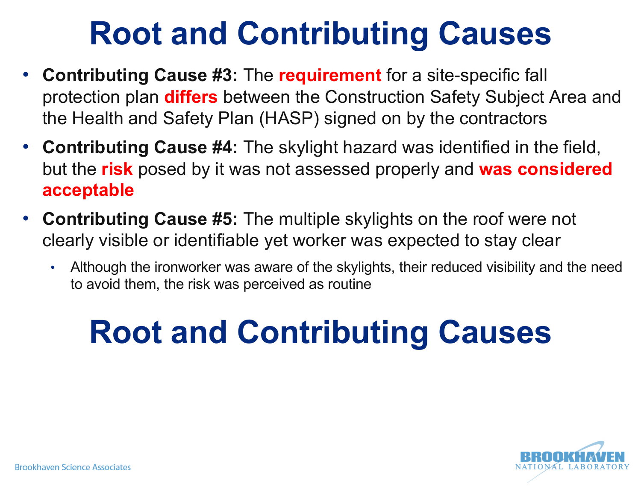## **Root and Contributing Causes**

- **Contributing Cause #3:** The **requirement** for a site-specific fall protection plan **differs** between the Construction Safety Subject Area and the Health and Safety Plan (HASP) signed on by the contractors
- **Contributing Cause #4:** The skylight hazard was identified in the field, but the **risk** posed by it was not assessed properly and **was considered acceptable**
- **Contributing Cause #5:** The multiple skylights on the roof were not clearly visible or identifiable yet worker was expected to stay clear
	- Although the ironworker was aware of the skylights, their reduced visibility and the need to avoid them, the risk was perceived as routine

# **Root and Contributing Causes**